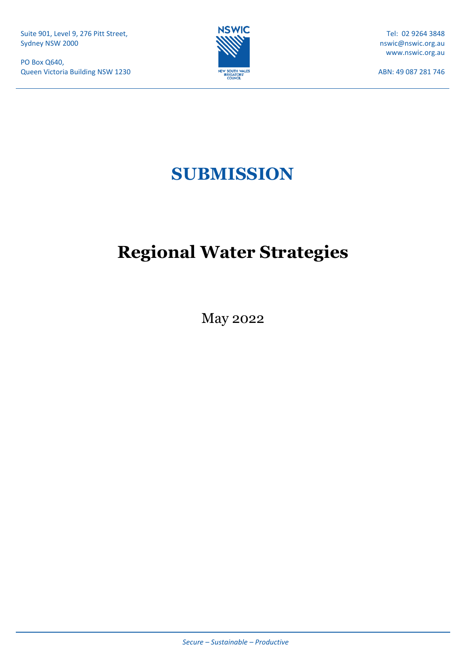PO Box Q640, Queen Victoria Building NSW 1230



Tel: 02 9264 3848 nswic@nswic.org.au www.nswic.org.au

ABN: 49 087 281 746

# **SUBMISSION**

# **Regional Water Strategies**

May 2022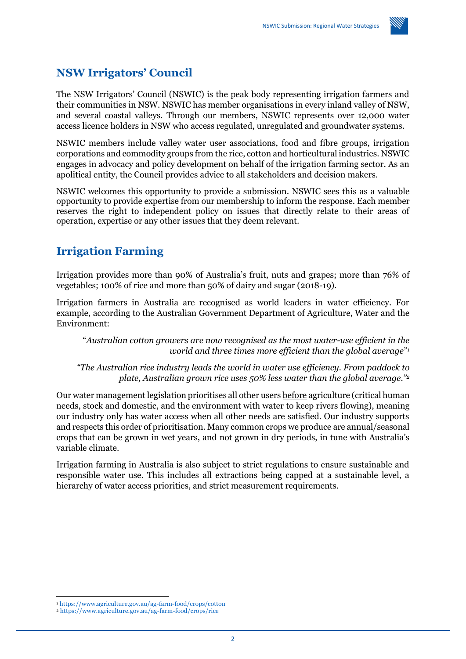

# **NSW Irrigators' Council**

The NSW Irrigators' Council (NSWIC) is the peak body representing irrigation farmers and their communities in NSW. NSWIC has member organisations in every inland valley of NSW, and several coastal valleys. Through our members, NSWIC represents over 12,000 water access licence holders in NSW who access regulated, unregulated and groundwater systems.

NSWIC members include valley water user associations, food and fibre groups, irrigation corporations and commodity groups from the rice, cotton and horticultural industries. NSWIC engages in advocacy and policy development on behalf of the irrigation farming sector. As an apolitical entity, the Council provides advice to all stakeholders and decision makers.

NSWIC welcomes this opportunity to provide a submission. NSWIC sees this as a valuable opportunity to provide expertise from our membership to inform the response. Each member reserves the right to independent policy on issues that directly relate to their areas of operation, expertise or any other issues that they deem relevant.

# **Irrigation Farming**

Irrigation provides more than 90% of Australia's fruit, nuts and grapes; more than 76% of vegetables; 100% of rice and more than 50% of dairy and sugar (2018-19).

Irrigation farmers in Australia are recognised as world leaders in water efficiency. For example, according to the Australian Government Department of Agriculture, Water and the Environment:

"*Australian cotton growers are now recognised as the most water-use efficient in the world and three times more efficient than the global average*" 1

*"The Australian rice industry leads the world in water use efficiency. From paddock to plate, Australian grown rice uses 50% less water than the global average."<sup>2</sup>*

Our water management legislation prioritises all other users before agriculture (critical human needs, stock and domestic, and the environment with water to keep rivers flowing), meaning our industry only has water access when all other needs are satisfied. Our industry supports and respects this order of prioritisation. Many common crops we produce are annual/seasonal crops that can be grown in wet years, and not grown in dry periods, in tune with Australia's variable climate.

Irrigation farming in Australia is also subject to strict regulations to ensure sustainable and responsible water use. This includes all extractions being capped at a sustainable level, a hierarchy of water access priorities, and strict measurement requirements.

<sup>1</sup> <https://www.agriculture.gov.au/ag-farm-food/crops/cotton>

<sup>2</sup> <https://www.agriculture.gov.au/ag-farm-food/crops/rice>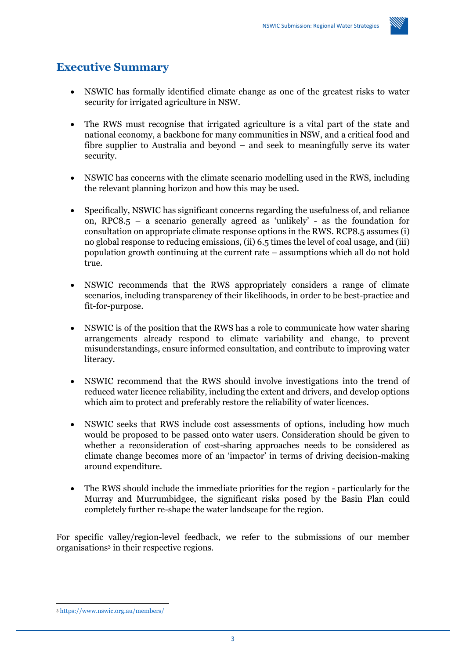

# **Executive Summary**

- NSWIC has formally identified climate change as one of the greatest risks to water security for irrigated agriculture in NSW.
- The RWS must recognise that irrigated agriculture is a vital part of the state and national economy, a backbone for many communities in NSW, and a critical food and fibre supplier to Australia and beyond – and seek to meaningfully serve its water security.
- NSWIC has concerns with the climate scenario modelling used in the RWS, including the relevant planning horizon and how this may be used.
- Specifically, NSWIC has significant concerns regarding the usefulness of, and reliance on, RPC8.5 – a scenario generally agreed as 'unlikely' - as the foundation for consultation on appropriate climate response options in the RWS. RCP8.5 assumes (i) no global response to reducing emissions, (ii) 6.5 times the level of coal usage, and (iii) population growth continuing at the current rate – assumptions which all do not hold true.
- NSWIC recommends that the RWS appropriately considers a range of climate scenarios, including transparency of their likelihoods, in order to be best-practice and fit-for-purpose.
- NSWIC is of the position that the RWS has a role to communicate how water sharing arrangements already respond to climate variability and change, to prevent misunderstandings, ensure informed consultation, and contribute to improving water literacy.
- NSWIC recommend that the RWS should involve investigations into the trend of reduced water licence reliability, including the extent and drivers, and develop options which aim to protect and preferably restore the reliability of water licences.
- NSWIC seeks that RWS include cost assessments of options, including how much would be proposed to be passed onto water users. Consideration should be given to whether a reconsideration of cost-sharing approaches needs to be considered as climate change becomes more of an 'impactor' in terms of driving decision-making around expenditure.
- The RWS should include the immediate priorities for the region particularly for the Murray and Murrumbidgee, the significant risks posed by the Basin Plan could completely further re-shape the water landscape for the region.

For specific valley/region-level feedback, we refer to the submissions of our member organisations<sup>3</sup> in their respective regions.

<sup>3</sup> <https://www.nswic.org.au/members/>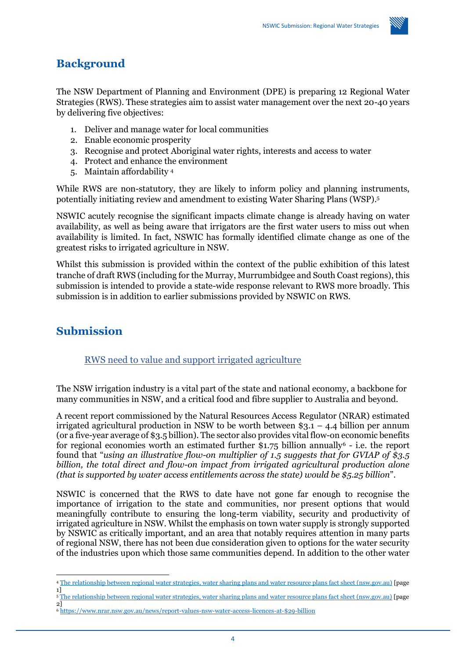

# **Background**

The NSW Department of Planning and Environment (DPE) is preparing 12 Regional Water Strategies (RWS). These strategies aim to assist water management over the next 20-40 years by delivering five objectives:

- 1. Deliver and manage water for local communities
- 2. Enable economic prosperity
- 3. Recognise and protect Aboriginal water rights, interests and access to water
- 4. Protect and enhance the environment
- 5. Maintain affordability <sup>4</sup>

While RWS are non-statutory, they are likely to inform policy and planning instruments, potentially initiating review and amendment to existing Water Sharing Plans (WSP). 5

NSWIC acutely recognise the significant impacts climate change is already having on water availability, as well as being aware that irrigators are the first water users to miss out when availability is limited. In fact, NSWIC has formally identified climate change as one of the greatest risks to irrigated agriculture in NSW.

Whilst this submission is provided within the context of the public exhibition of this latest tranche of draft RWS (including for the Murray, Murrumbidgee and South Coast regions), this submission is intended to provide a state-wide response relevant to RWS more broadly. This submission is in addition to earlier submissions provided by NSWIC on RWS.

# **Submission**

## RWS need to value and support irrigated agriculture

The NSW irrigation industry is a vital part of the state and national economy, a backbone for many communities in NSW, and a critical food and fibre supplier to Australia and beyond.

A recent report commissioned by the Natural Resources Access Regulator (NRAR) estimated irrigated agricultural production in NSW to be worth between  $$3.1 - 4.4$  billion per annum (or a five-year average of \$3.5 billion). The sector also provides vital flow-on economic benefits for regional economies worth an estimated further  $\hat{\mathbf{\hat{s}}}_{1.75}$  billion annually<sup>6</sup> - i.e. the report found that "*using an illustrative flow-on multiplier of 1.5 suggests that for GVIAP of \$3.5 billion, the total direct and flow-on impact from irrigated agricultural production alone (that is supported by water access entitlements across the state) would be \$5.25 billion*".

NSWIC is concerned that the RWS to date have not gone far enough to recognise the importance of irrigation to the state and communities, nor present options that would meaningfully contribute to ensuring the long-term viability, security and productivity of irrigated agriculture in NSW. Whilst the emphasis on town water supply is strongly supported by NSWIC as critically important, and an area that notably requires attention in many parts of regional NSW, there has not been due consideration given to options for the water security of the industries upon which those same communities depend. In addition to the other water

- <sup>5</sup> [The relationship between regional water strategies, water sharing plans and water resource plans fact sheet \(nsw.gov.au\)](https://water.dpie.nsw.gov.au/__data/assets/pdf_file/0003/501546/relationship-between-rws-and-wsp-fact-sheet.pdf) [page 2]
- <sup>6</sup> [https://www.nrar.nsw.gov.au/news/report-values-nsw-water-access-licences-at-\\$29-billion](https://www.nrar.nsw.gov.au/news/report-values-nsw-water-access-licences-at-$29-billion)

<sup>4</sup> [The relationship between regional water strategies, water sharing plans and water resource plans fact sheet \(nsw.gov.au\)](https://water.dpie.nsw.gov.au/__data/assets/pdf_file/0003/501546/relationship-between-rws-and-wsp-fact-sheet.pdf) [page 1]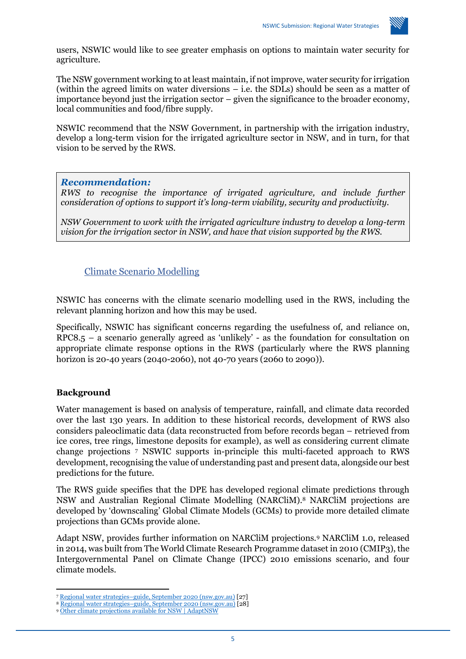

users, NSWIC would like to see greater emphasis on options to maintain water security for agriculture.

The NSW government working to at least maintain, if not improve, water security for irrigation (within the agreed limits on water diversions – i.e. the SDLs) should be seen as a matter of importance beyond just the irrigation sector – given the significance to the broader economy, local communities and food/fibre supply.

NSWIC recommend that the NSW Government, in partnership with the irrigation industry, develop a long-term vision for the irrigated agriculture sector in NSW, and in turn, for that vision to be served by the RWS.

#### *Recommendation:*

*RWS to recognise the importance of irrigated agriculture, and include further consideration of options to support it's long-term viability, security and productivity.* 

*NSW Government to work with the irrigated agriculture industry to develop a long-term vision for the irrigation sector in NSW, and have that vision supported by the RWS.* 

## Climate Scenario Modelling

NSWIC has concerns with the climate scenario modelling used in the RWS, including the relevant planning horizon and how this may be used.

Specifically, NSWIC has significant concerns regarding the usefulness of, and reliance on,  $RPC8.5 - a$  scenario generally agreed as 'unlikely' - as the foundation for consultation on appropriate climate response options in the RWS (particularly where the RWS planning horizon is 20-40 years (2040-2060), not 40-70 years (2060 to 2090)).

## **Background**

Water management is based on analysis of temperature, rainfall, and climate data recorded over the last 130 years. In addition to these historical records, development of RWS also considers paleoclimatic data (data reconstructed from before records began – retrieved from ice cores, tree rings, limestone deposits for example), as well as considering current climate change projections <sup>7</sup> NSWIC supports in-principle this multi-faceted approach to RWS development, recognising the value of understanding past and present data, alongside our best predictions for the future.

The RWS guide specifies that the DPE has developed regional climate predictions through NSW and Australian Regional Climate Modelling (NARCliM).<sup>8</sup> NARCliM projections are developed by 'downscaling' Global Climate Models (GCMs) to provide more detailed climate projections than GCMs provide alone.

Adapt NSW, provides further information on NARCliM projections.<sup>9</sup> NARCliM 1.0, released in 2014, was built from The World Climate Research Programme dataset in 2010 (CMIP3), the Intergovernmental Panel on Climate Change (IPCC) 2010 emissions scenario, and four climate models.

<sup>7</sup> Regional water strategies–[guide, September 2020 \(nsw.gov.au\)](https://www.dpie.nsw.gov.au/__data/assets/pdf_file/0005/499748/regional-water-strategies-guide.pdf) [27]

<sup>8</sup> Regional water strategies–[guide, September 2020 \(nsw.gov.au\)](https://www.dpie.nsw.gov.au/__data/assets/pdf_file/0005/499748/regional-water-strategies-guide.pdf) [28]

<sup>9</sup> [Other climate projections available for NSW | AdaptNSW](https://www.climatechange.environment.nsw.gov.au/other-climate-projections-available-nsw)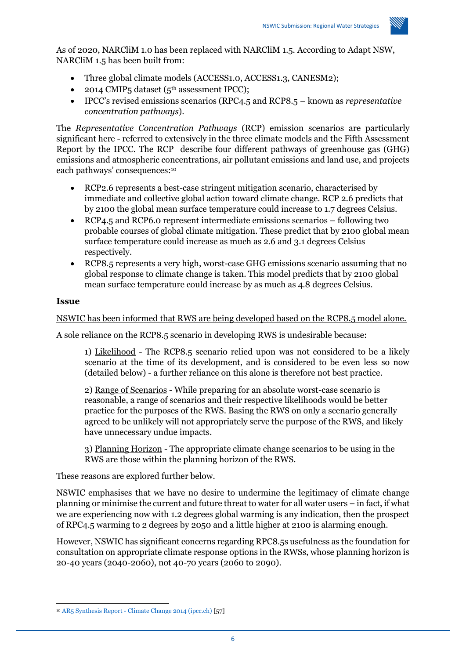

As of 2020, NARCliM 1.0 has been replaced with NARCliM 1.5. According to Adapt NSW, NARCliM 1.5 has been built from:

- Three global climate models (ACCESS1.0, ACCESS1.3, CANESM2);
- 2014 CMIP5 dataset (5<sup>th</sup> assessment IPCC);
- IPCC's revised emissions scenarios (RPC4.5 and RCP8.5 known as *representative concentration pathways*).

The *Representative Concentration Pathways* (RCP) emission scenarios are particularly significant here - referred to extensively in the three climate models and the Fifth Assessment Report by the IPCC. The RCP describe four different pathways of greenhouse gas (GHG) emissions and atmospheric concentrations, air pollutant emissions and land use, and projects each pathways' consequences: 10

- RCP2.6 represents a best-case stringent mitigation scenario, characterised by immediate and collective global action toward climate change. RCP 2.6 predicts that by 2100 the global mean surface temperature could increase to 1.7 degrees Celsius.
- RCP4.5 and RCP6.0 represent intermediate emissions scenarios following two probable courses of global climate mitigation. These predict that by 2100 global mean surface temperature could increase as much as 2.6 and 3.1 degrees Celsius respectively.
- RCP8.5 represents a very high, worst-case GHG emissions scenario assuming that no global response to climate change is taken. This model predicts that by 2100 global mean surface temperature could increase by as much as 4.8 degrees Celsius.

#### **Issue**

NSWIC has been informed that RWS are being developed based on the RCP8.5 model alone.

A sole reliance on the RCP8.5 scenario in developing RWS is undesirable because:

1) Likelihood - The RCP8.5 scenario relied upon was not considered to be a likely scenario at the time of its development, and is considered to be even less so now (detailed below) - a further reliance on this alone is therefore not best practice.

2) Range of Scenarios - While preparing for an absolute worst-case scenario is reasonable, a range of scenarios and their respective likelihoods would be better practice for the purposes of the RWS. Basing the RWS on only a scenario generally agreed to be unlikely will not appropriately serve the purpose of the RWS, and likely have unnecessary undue impacts.

3) Planning Horizon - The appropriate climate change scenarios to be using in the RWS are those within the planning horizon of the RWS.

These reasons are explored further below.

NSWIC emphasises that we have no desire to undermine the legitimacy of climate change planning or minimise the current and future threat to water for all water users – in fact, if what we are experiencing now with 1.2 degrees global warming is any indication, then the prospect of RPC4.5 warming to 2 degrees by 2050 and a little higher at 2100 is alarming enough.

However, NSWIC has significant concerns regarding RPC8.5s usefulness as the foundation for consultation on appropriate climate response options in the RWSs, whose planning horizon is 20-40 years (2040-2060), not 40-70 years (2060 to 2090).

<sup>10</sup> AR5 Synthesis Report - [Climate Change 2014 \(ipcc.ch\)](https://www.ipcc.ch/site/assets/uploads/2018/02/SYR_AR5_FINAL_full.pdf) [57]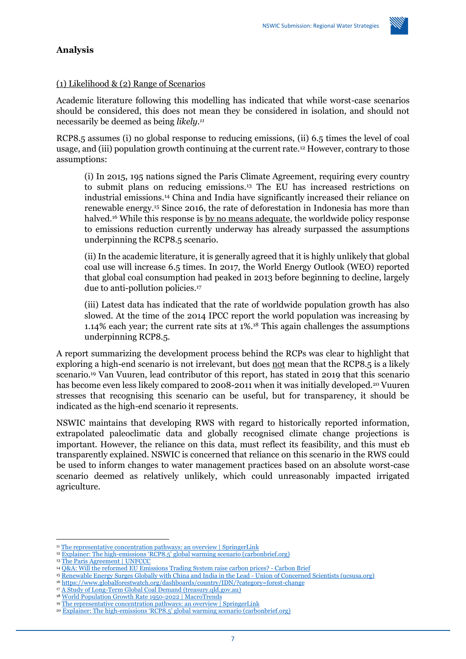

#### **Analysis**

#### (1) Likelihood & (2) Range of Scenarios

Academic literature following this modelling has indicated that while worst-case scenarios should be considered, this does not mean they be considered in isolation, and should not necessarily be deemed as being *likely.<sup>11</sup>*

RCP8.5 assumes (i) no global response to reducing emissions, (ii) 6.5 times the level of coal usage, and (iii) population growth continuing at the current rate.<sup>12</sup> However, contrary to those assumptions:

(i) In 2015, 195 nations signed the Paris Climate Agreement, requiring every country to submit plans on reducing emissions.<sup>13</sup> The EU has increased restrictions on industrial emissions.<sup>14</sup> China and India have significantly increased their reliance on renewable energy.<sup>15</sup> Since 2016, the rate of deforestation in Indonesia has more than halved.<sup>16</sup> While this response is by no means adequate, the worldwide policy response to emissions reduction currently underway has already surpassed the assumptions underpinning the RCP8.5 scenario.

(ii) In the academic literature, it is generally agreed that it is highly unlikely that global coal use will increase 6.5 times. In 2017, the World Energy Outlook (WEO) reported that global coal consumption had peaked in 2013 before beginning to decline, largely due to anti-pollution policies.<sup>17</sup>

(iii) Latest data has indicated that the rate of worldwide population growth has also slowed. At the time of the 2014 IPCC report the world population was increasing by 1.14% each year; the current rate sits at 1%.<sup>18</sup> This again challenges the assumptions underpinning RCP8.5.

A report summarizing the development process behind the RCPs was clear to highlight that exploring a high-end scenario is not irrelevant, but does not mean that the RCP8.5 is a likely scenario.<sup>19</sup> Van Vuuren, lead contributor of this report, has stated in 2019 that this scenario has become even less likely compared to 2008-2011 when it was initially developed.<sup>20</sup> Vuuren stresses that recognising this scenario can be useful, but for transparency, it should be indicated as the high-end scenario it represents.

NSWIC maintains that developing RWS with regard to historically reported information, extrapolated paleoclimatic data and globally recognised climate change projections is important. However, the reliance on this data, must reflect its feasibility, and this must eb transparently explained. NSWIC is concerned that reliance on this scenario in the RWS could be used to inform changes to water management practices based on an absolute worst-case scenario deemed as relatively unlikely, which could unreasonably impacted irrigated agriculture.

<sup>&</sup>lt;sup>11</sup> [The representative concentration pathways: an overview | SpringerLink](https://link.springer.com/article/10.1007/s10584-011-0148-z)

<sup>&</sup>lt;sup>12</sup> Explainer: The high-[emissions 'RCP8.5' global warming scenario \(carbonbrief.org\)](https://www.carbonbrief.org/explainer-the-high-emissions-rcp8-5-global-warming-scenario/)

<sup>13</sup> [The Paris Agreement | UNFCCC](https://unfccc.int/process-and-meetings/the-paris-agreement/the-paris-agreement)

<sup>14</sup> [Q&A: Will the reformed EU Emissions Trading System](https://www.carbonbrief.org/qa-will-reformed-eu-emissions-trading-system-raise-carbon-prices/) raise carbon prices? - Carbon Brief

<sup>15</sup> [Renewable Energy Surges Globally with China and India in the Lead -](https://blog.ucsusa.org/rachel-cleetus/renewable-energy-china-india/) Union of Concerned Scientists (ucsusa.org)

<sup>16</sup> <https://www.globalforestwatch.org/dashboards/country/IDN/?category=forest-change>

<sup>17</sup> [A Study of Long-Term Global Coal Demand \(treasury.qld.gov.au\)](https://s3.treasury.qld.gov.au/files/A-Study-of-Long-Term-Global-Coal-Demand.pdf)

<sup>18</sup> [World Population Growth Rate 1950-2022 | MacroTrends](https://www.macrotrends.net/countries/WLD/world/population-growth-rate#:~:text=World%20-%20Historical%20Population%20Growth%20Rate%20Data%20,%20%201.08%25%20%2069%20more%20rows%20)

<sup>19</sup> [The representative concentration pathways: an overview | SpringerLink](https://link.springer.com/article/10.1007/s10584-011-0148-z)

<sup>20</sup> Explainer: The high-[emissions 'RCP8.5' global warming scenario \(carbonbrief.org\)](https://www.carbonbrief.org/explainer-the-high-emissions-rcp8-5-global-warming-scenario/)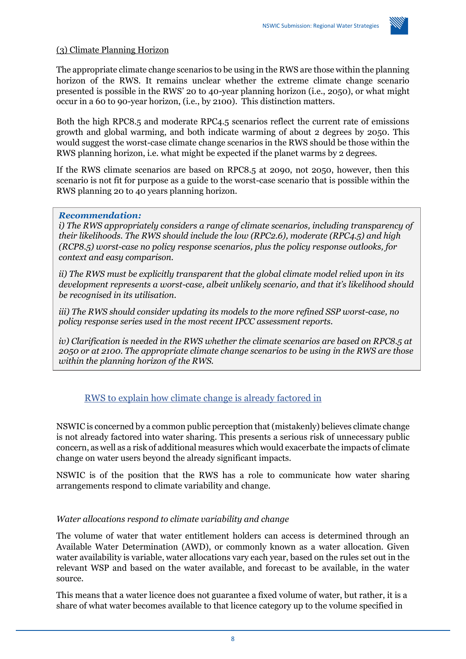

#### (3) Climate Planning Horizon

The appropriate climate change scenarios to be using in the RWS are those within the planning horizon of the RWS. It remains unclear whether the extreme climate change scenario presented is possible in the RWS' 20 to 40-year planning horizon (i.e., 2050), or what might occur in a 60 to 90-year horizon, (i.e., by 2100). This distinction matters.

Both the high RPC8.5 and moderate RPC4.5 scenarios reflect the current rate of emissions growth and global warming, and both indicate warming of about 2 degrees by 2050. This would suggest the worst-case climate change scenarios in the RWS should be those within the RWS planning horizon, i.e. what might be expected if the planet warms by 2 degrees.

If the RWS climate scenarios are based on RPC8.5 at 2090, not 2050, however, then this scenario is not fit for purpose as a guide to the worst-case scenario that is possible within the RWS planning 20 to 40 years planning horizon.

#### *Recommendation:*

*i) The RWS appropriately considers a range of climate scenarios, including transparency of their likelihoods. The RWS should include the low (RPC2.6), moderate (RPC4.5) and high (RCP8.5) worst-case no policy response scenarios, plus the policy response outlooks, for context and easy comparison.*

*ii) The RWS must be explicitly transparent that the global climate model relied upon in its development represents a worst-case, albeit unlikely scenario, and that it's likelihood should be recognised in its utilisation.*

*iii) The RWS should consider updating its models to the more refined SSP worst-case, no policy response series used in the most recent IPCC assessment reports.*

*iv) Clarification is needed in the RWS whether the climate scenarios are based on RPC8.5 at 2050 or at 2100. The appropriate climate change scenarios to be using in the RWS are those within the planning horizon of the RWS.*

## RWS to explain how climate change is already factored in

NSWIC is concerned by a common public perception that (mistakenly) believes climate change is not already factored into water sharing. This presents a serious risk of unnecessary public concern, as well as a risk of additional measures which would exacerbate the impacts of climate change on water users beyond the already significant impacts.

NSWIC is of the position that the RWS has a role to communicate how water sharing arrangements respond to climate variability and change.

#### *Water allocations respond to climate variability and change*

The volume of water that water entitlement holders can access is determined through an Available Water Determination (AWD), or commonly known as a water allocation. Given water availability is variable, water allocations vary each year, based on the rules set out in the relevant WSP and based on the water available, and forecast to be available, in the water source.

This means that a water licence does not guarantee a fixed volume of water, but rather, it is a share of what water becomes available to that licence category up to the volume specified in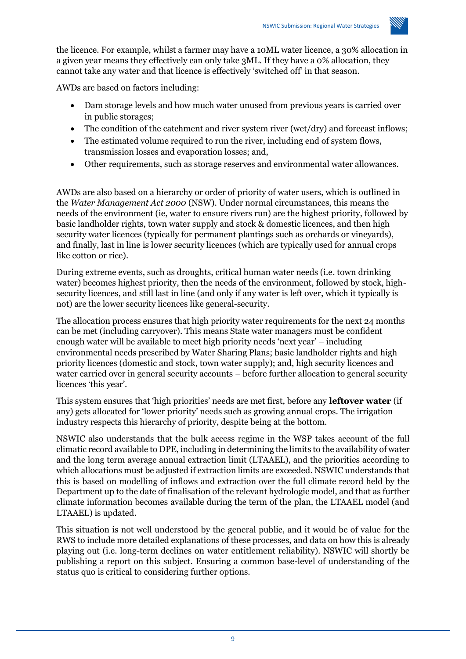

the licence. For example, whilst a farmer may have a 10ML water licence, a 30% allocation in a given year means they effectively can only take 3ML. If they have a 0% allocation, they cannot take any water and that licence is effectively 'switched off' in that season.

AWDs are based on factors including:

- Dam storage levels and how much water unused from previous years is carried over in public storages;
- The condition of the catchment and river system river (wet/dry) and forecast inflows;
- The estimated volume required to run the river, including end of system flows, transmission losses and evaporation losses; and,
- Other requirements, such as storage reserves and environmental water allowances.

AWDs are also based on a hierarchy or order of priority of water users, which is outlined in the *Water Management Act 2000* (NSW). Under normal circumstances, this means the needs of the environment (ie, water to ensure rivers run) are the highest priority, followed by basic landholder rights, town water supply and stock & domestic licences, and then high security water licences (typically for permanent plantings such as orchards or vineyards), and finally, last in line is lower security licences (which are typically used for annual crops like cotton or rice).

During extreme events, such as droughts, critical human water needs (i.e. town drinking water) becomes highest priority, then the needs of the environment, followed by stock, highsecurity licences, and still last in line (and only if any water is left over, which it typically is not) are the lower security licences like general-security.

The allocation process ensures that high priority water requirements for the next 24 months can be met (including carryover). This means State water managers must be confident enough water will be available to meet high priority needs 'next year' – including environmental needs prescribed by Water Sharing Plans; basic landholder rights and high priority licences (domestic and stock, town water supply); and, high security licences and water carried over in general security accounts – before further allocation to general security licences 'this year'.

This system ensures that 'high priorities' needs are met first, before any **leftover water** (if any) gets allocated for 'lower priority' needs such as growing annual crops. The irrigation industry respects this hierarchy of priority, despite being at the bottom.

NSWIC also understands that the bulk access regime in the WSP takes account of the full climatic record available to DPE, including in determining the limits to the availability of water and the long term average annual extraction limit (LTAAEL), and the priorities according to which allocations must be adjusted if extraction limits are exceeded. NSWIC understands that this is based on modelling of inflows and extraction over the full climate record held by the Department up to the date of finalisation of the relevant hydrologic model, and that as further climate information becomes available during the term of the plan, the LTAAEL model (and LTAAEL) is updated.

This situation is not well understood by the general public, and it would be of value for the RWS to include more detailed explanations of these processes, and data on how this is already playing out (i.e. long-term declines on water entitlement reliability). NSWIC will shortly be publishing a report on this subject. Ensuring a common base-level of understanding of the status quo is critical to considering further options.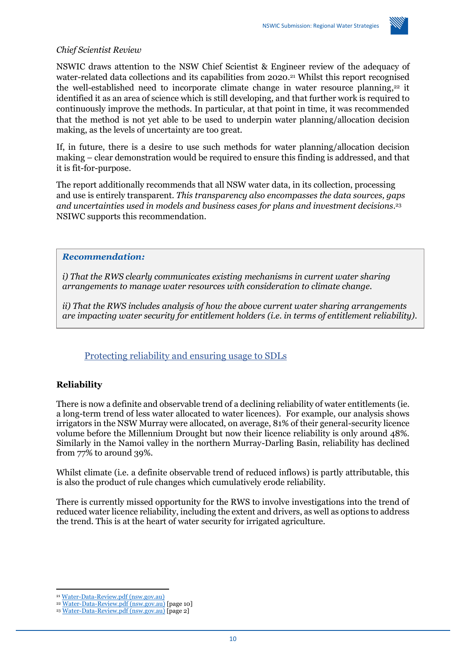

#### *Chief Scientist Review*

NSWIC draws attention to the NSW Chief Scientist & Engineer review of the adequacy of water-related data collections and its capabilities from 2020. <sup>21</sup> Whilst this report recognised the well-established need to incorporate climate change in water resource planning,<sup>22</sup> it identified it as an area of science which is still developing, and that further work is required to continuously improve the methods. In particular, at that point in time, it was recommended that the method is not yet able to be used to underpin water planning/allocation decision making, as the levels of uncertainty are too great.

If, in future, there is a desire to use such methods for water planning/allocation decision making – clear demonstration would be required to ensure this finding is addressed, and that it is fit-for-purpose.

The report additionally recommends that all NSW water data, in its collection, processing and use is entirely transparent. *This transparency also encompasses the data sources, gaps and uncertainties used in models and business cases for plans and investment decisions*. 23 NSIWC supports this recommendation.

#### *Recommendation:*

*i) That the RWS clearly communicates existing mechanisms in current water sharing arrangements to manage water resources with consideration to climate change.* 

*ii) That the RWS includes analysis of how the above current water sharing arrangements are impacting water security for entitlement holders (i.e. in terms of entitlement reliability).* 

## Protecting reliability and ensuring usage to SDLs

## **Reliability**

There is now a definite and observable trend of a declining reliability of water entitlements (ie. a long-term trend of less water allocated to water licences). For example, our analysis shows irrigators in the NSW Murray were allocated, on average, 81% of their general-security licence volume before the Millennium Drought but now their licence reliability is only around 48%. Similarly in the Namoi valley in the northern Murray-Darling Basin, reliability has declined from 77% to around 39%.

Whilst climate (i.e. a definite observable trend of reduced inflows) is partly attributable, this is also the product of rule changes which cumulatively erode reliability.

There is currently missed opportunity for the RWS to involve investigations into the trend of reduced water licence reliability, including the extent and drivers, as well as options to address the trend. This is at the heart of water security for irrigated agriculture.

<sup>21</sup> [Water-Data-Review.pdf \(nsw.gov.au\)](https://www.chiefscientist.nsw.gov.au/__data/assets/pdf_file/0003/337503/Water-Data-Review.pdf)

<sup>22</sup> [Water-Data-Review.pdf \(nsw.gov.au\)](https://www.chiefscientist.nsw.gov.au/__data/assets/pdf_file/0003/337503/Water-Data-Review.pdf) [page 10]

<sup>&</sup>lt;sup>23</sup> [Water-Data-Review.pdf \(nsw.gov.au\)](https://www.chiefscientist.nsw.gov.au/__data/assets/pdf_file/0003/337503/Water-Data-Review.pdf) [page 2]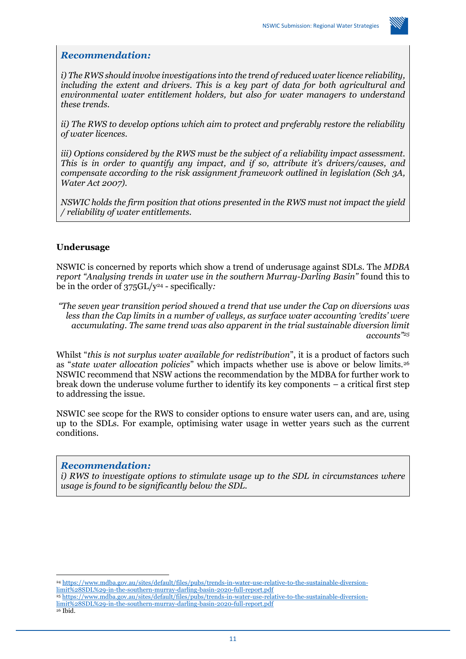

#### *Recommendation:*

*i) The RWS should involve investigations into the trend of reduced water licence reliability, including the extent and drivers. This is a key part of data for both agricultural and environmental water entitlement holders, but also for water managers to understand these trends.* 

*ii) The RWS to develop options which aim to protect and preferably restore the reliability of water licences.*

*iii) Options considered by the RWS must be the subject of a reliability impact assessment. This is in order to quantify any impact, and if so, attribute it's drivers/causes, and compensate according to the risk assignment framework outlined in legislation (Sch 3A, Water Act 2007).* 

*NSWIC holds the firm position that otions presented in the RWS must not impact the yield / reliability of water entitlements.*

#### **Underusage**

NSWIC is concerned by reports which show a trend of underusage against SDLs. The *MDBA report "Analysing trends in water use in the southern Murray-Darling Basin"* found this to be in the order of 375GL/y<sup>24</sup> - specifically*:*

*"The seven year transition period showed a trend that use under the Cap on diversions was less than the Cap limits in a number of valleys, as surface water accounting 'credits' were accumulating. The same trend was also apparent in the trial sustainable diversion limit accounts" 25*

Whilst "*this is not surplus water available for redistribution*", it is a product of factors such as "*state water allocation policies*" which impacts whether use is above or below limits.<sup>26</sup> NSWIC recommend that NSW actions the recommendation by the MDBA for further work to break down the underuse volume further to identify its key components – a critical first step to addressing the issue.

NSWIC see scope for the RWS to consider options to ensure water users can, and are, using up to the SDLs. For example, optimising water usage in wetter years such as the current conditions.

#### *Recommendation:*

*i) RWS to investigate options to stimulate usage up to the SDL in circumstances where usage is found to be significantly below the SDL.* 

<sup>24</sup> [https://www.mdba.gov.au/sites/default/files/pubs/trends-in-water-use-relative-to-the-sustainable-diversion](https://www.mdba.gov.au/sites/default/files/pubs/trends-in-water-use-relative-to-the-sustainable-diversion-limit%28SDL%29-in-the-southern-murray-darling-basin-2020-full-report.pdf)[limit%28SDL%29-in-the-southern-murray-darling-basin-2020-full-report.pdf](https://www.mdba.gov.au/sites/default/files/pubs/trends-in-water-use-relative-to-the-sustainable-diversion-limit%28SDL%29-in-the-southern-murray-darling-basin-2020-full-report.pdf) <sup>25</sup> [https://www.mdba.gov.au/sites/default/files/pubs/trends-in-water-use-relative-to-the-sustainable-diversion](https://www.mdba.gov.au/sites/default/files/pubs/trends-in-water-use-relative-to-the-sustainable-diversion-limit%28SDL%29-in-the-southern-murray-darling-basin-2020-full-report.pdf)[limit%28SDL%29-in-the-southern-murray-darling-basin-2020-full-report.pdf](https://www.mdba.gov.au/sites/default/files/pubs/trends-in-water-use-relative-to-the-sustainable-diversion-limit%28SDL%29-in-the-southern-murray-darling-basin-2020-full-report.pdf)

<sup>&</sup>lt;sup>26</sup> Ibid.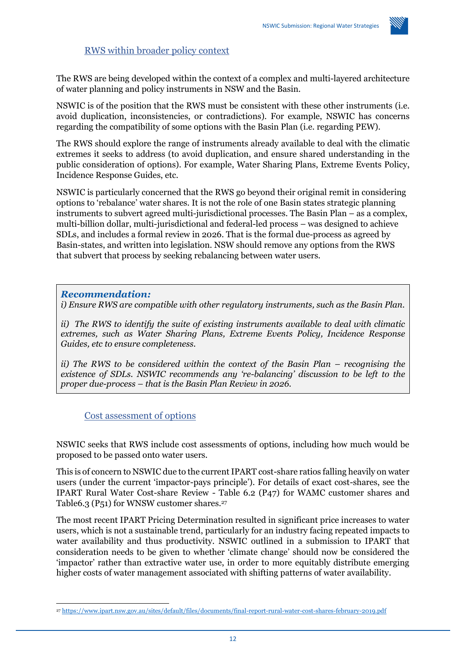

## RWS within broader policy context

The RWS are being developed within the context of a complex and multi-layered architecture of water planning and policy instruments in NSW and the Basin.

NSWIC is of the position that the RWS must be consistent with these other instruments (i.e. avoid duplication, inconsistencies, or contradictions). For example, NSWIC has concerns regarding the compatibility of some options with the Basin Plan (i.e. regarding PEW).

The RWS should explore the range of instruments already available to deal with the climatic extremes it seeks to address (to avoid duplication, and ensure shared understanding in the public consideration of options). For example, Water Sharing Plans, Extreme Events Policy, Incidence Response Guides, etc.

NSWIC is particularly concerned that the RWS go beyond their original remit in considering options to 'rebalance' water shares. It is not the role of one Basin states strategic planning instruments to subvert agreed multi-jurisdictional processes. The Basin Plan – as a complex, multi-billion dollar, multi-jurisdictional and federal-led process – was designed to achieve SDLs, and includes a formal review in 2026. That is the formal due-process as agreed by Basin-states, and written into legislation. NSW should remove any options from the RWS that subvert that process by seeking rebalancing between water users.

#### *Recommendation:*

*i) Ensure RWS are compatible with other regulatory instruments, such as the Basin Plan.*

*ii) The RWS to identify the suite of existing instruments available to deal with climatic extremes, such as Water Sharing Plans, Extreme Events Policy, Incidence Response Guides, etc to ensure completeness.* 

*ii)* The RWS to be considered within the context of the Basin Plan – recognising the *existence of SDLs. NSWIC recommends any 're-balancing' discussion to be left to the proper due-process – that is the Basin Plan Review in 2026.*

Cost assessment of options

NSWIC seeks that RWS include cost assessments of options, including how much would be proposed to be passed onto water users.

This is of concern to NSWIC due to the current IPART cost-share ratios falling heavily on water users (under the current 'impactor-pays principle'). For details of exact cost-shares, see the IPART Rural Water Cost-share Review - Table 6.2 (P47) for WAMC customer shares and Table6.3 (P51) for WNSW customer shares.<sup>27</sup>

The most recent IPART Pricing Determination resulted in significant price increases to water users, which is not a sustainable trend, particularly for an industry facing repeated impacts to water availability and thus productivity. NSWIC outlined in a submission to IPART that consideration needs to be given to whether 'climate change' should now be considered the 'impactor' rather than extractive water use, in order to more equitably distribute emerging higher costs of water management associated with shifting patterns of water availability.

<sup>27</sup> <https://www.ipart.nsw.gov.au/sites/default/files/documents/final-report-rural-water-cost-shares-february-2019.pdf>